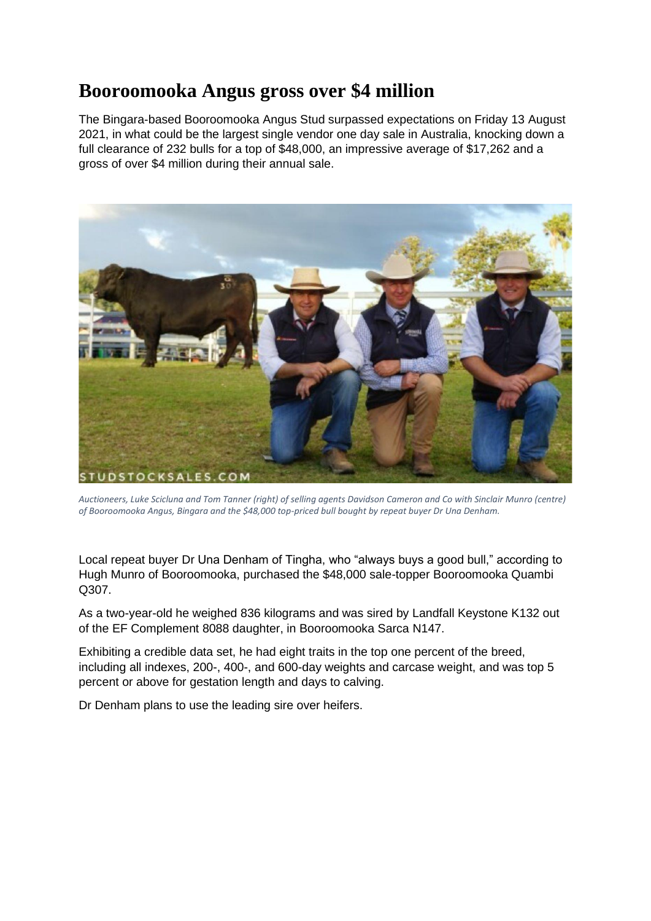## **Booroomooka Angus gross over \$4 million**

The Bingara-based Booroomooka Angus Stud surpassed expectations on Friday 13 August 2021, in what could be the largest single vendor one day sale in Australia, knocking down a full clearance of 232 bulls for a top of \$48,000, an impressive average of \$17,262 and a gross of over \$4 million during their annual sale.



*Auctioneers, Luke Scicluna and Tom Tanner (right) of selling agents Davidson Cameron and Co with Sinclair Munro (centre) of Booroomooka Angus, Bingara and the \$48,000 top-priced bull bought by repeat buyer Dr Una Denham.*

Local repeat buyer Dr Una Denham of Tingha, who "always buys a good bull," according to Hugh Munro of Booroomooka, purchased the \$48,000 sale-topper Booroomooka Quambi Q307.

As a two-year-old he weighed 836 kilograms and was sired by Landfall Keystone K132 out of the EF Complement 8088 daughter, in Booroomooka Sarca N147.

Exhibiting a credible data set, he had eight traits in the top one percent of the breed, including all indexes, 200-, 400-, and 600-day weights and carcase weight, and was top 5 percent or above for gestation length and days to calving.

Dr Denham plans to use the leading sire over heifers.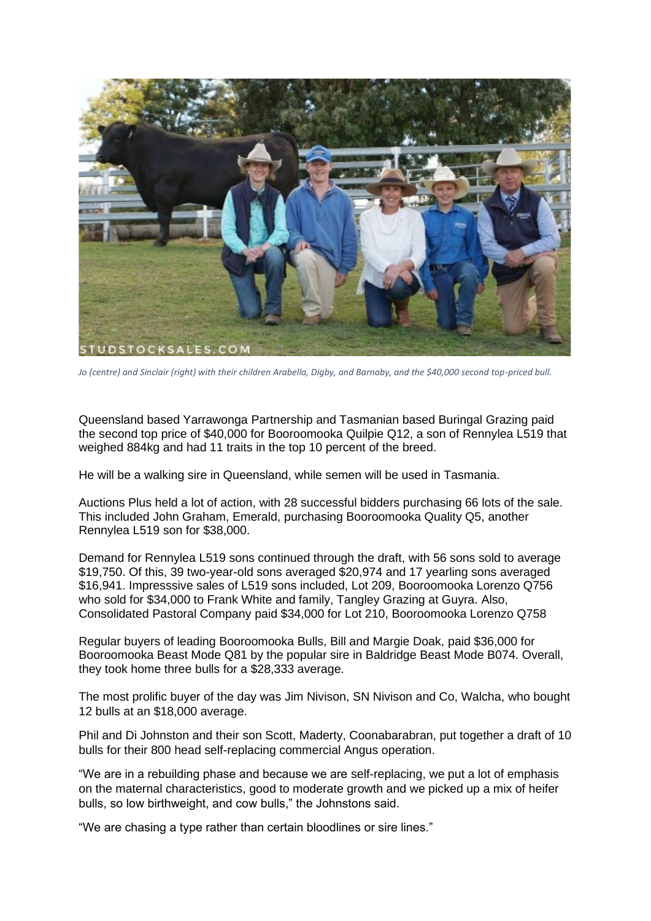

*Jo (centre) and Sinclair (right) with their children Arabella, Digby, and Barnaby, and the \$40,000 second top-priced bull.*

Queensland based Yarrawonga Partnership and Tasmanian based Buringal Grazing paid the second top price of \$40,000 for Booroomooka Quilpie Q12, a son of Rennylea L519 that weighed 884kg and had 11 traits in the top 10 percent of the breed.

He will be a walking sire in Queensland, while semen will be used in Tasmania.

Auctions Plus held a lot of action, with 28 successful bidders purchasing 66 lots of the sale. This included John Graham, Emerald, purchasing Booroomooka Quality Q5, another Rennylea L519 son for \$38,000.

Demand for Rennylea L519 sons continued through the draft, with 56 sons sold to average \$19,750. Of this, 39 two-year-old sons averaged \$20,974 and 17 yearling sons averaged \$16,941. Impresssive sales of L519 sons included, Lot 209, Booroomooka Lorenzo Q756 who sold for \$34,000 to Frank White and family, Tangley Grazing at Guyra. Also, Consolidated Pastoral Company paid \$34,000 for Lot 210, Booroomooka Lorenzo Q758

Regular buyers of leading Booroomooka Bulls, Bill and Margie Doak, paid \$36,000 for Booroomooka Beast Mode Q81 by the popular sire in Baldridge Beast Mode B074. Overall, they took home three bulls for a \$28,333 average.

The most prolific buyer of the day was Jim Nivison, SN Nivison and Co, Walcha, who bought 12 bulls at an \$18,000 average.

Phil and Di Johnston and their son Scott, Maderty, Coonabarabran, put together a draft of 10 bulls for their 800 head self-replacing commercial Angus operation.

"We are in a rebuilding phase and because we are self-replacing, we put a lot of emphasis on the maternal characteristics, good to moderate growth and we picked up a mix of heifer bulls, so low birthweight, and cow bulls," the Johnstons said.

"We are chasing a type rather than certain bloodlines or sire lines."